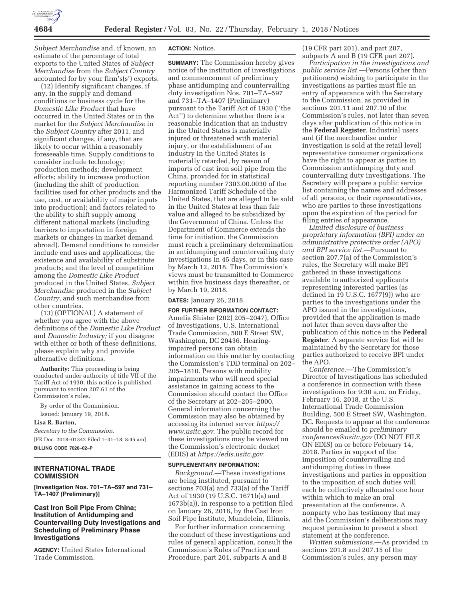

*Subject Merchandise* and, if known, an estimate of the percentage of total exports to the United States of *Subject Merchandise* from the *Subject Country*  accounted for by your firm's(s') exports.

(12) Identify significant changes, if any, in the supply and demand conditions or business cycle for the *Domestic Like Product* that have occurred in the United States or in the market for the *Subject Merchandise* in the *Subject Country* after 2011, and significant changes, if any, that are likely to occur within a reasonably foreseeable time. Supply conditions to consider include technology; production methods; development efforts; ability to increase production (including the shift of production facilities used for other products and the use, cost, or availability of major inputs into production); and factors related to the ability to shift supply among different national markets (including barriers to importation in foreign markets or changes in market demand abroad). Demand conditions to consider include end uses and applications; the existence and availability of substitute products; and the level of competition among the *Domestic Like Product*  produced in the United States, *Subject Merchandise* produced in the *Subject Country,* and such merchandise from other countries.

(13) (OPTIONAL) A statement of whether you agree with the above definitions of the *Domestic Like Product*  and *Domestic Industry;* if you disagree with either or both of these definitions, please explain why and provide alternative definitions.

**Authority:** This proceeding is being conducted under authority of title VII of the Tariff Act of 1930; this notice is published pursuant to section 207.61 of the Commission's rules.

By order of the Commission. Issued: January 19, 2018.

**Lisa R. Barton,** 

*Secretary to the Commission.* 

[FR Doc. 2018–01342 Filed 1–31–18; 8:45 am] **BILLING CODE 7020–02–P** 

# **INTERNATIONAL TRADE COMMISSION**

**[Investigation Nos. 701–TA–597 and 731– TA–1407 (Preliminary)]** 

## **Cast Iron Soil Pipe From China; Institution of Antidumping and Countervailing Duty Investigations and Scheduling of Preliminary Phase Investigations**

**AGENCY:** United States International Trade Commission.

### **ACTION:** Notice.

**SUMMARY:** The Commission hereby gives notice of the institution of investigations and commencement of preliminary phase antidumping and countervailing duty investigation Nos. 701–TA–597 and 731–TA–1407 (Preliminary) pursuant to the Tariff Act of 1930 (''the Act'') to determine whether there is a reasonable indication that an industry in the United States is materially injured or threatened with material injury, or the establishment of an industry in the United States is materially retarded, by reason of imports of cast iron soil pipe from the China, provided for in statistical reporting number 7303.00.0030 of the Harmonized Tariff Schedule of the United States, that are alleged to be sold in the United States at less than fair value and alleged to be subsidized by the Government of China. Unless the Department of Commerce extends the time for initiation, the Commission must reach a preliminary determination in antidumping and countervailing duty investigations in 45 days, or in this case by March 12, 2018. The Commission's views must be transmitted to Commerce within five business days thereafter, or by March 19, 2018.

### **DATES:** January 26, 2018.

**FOR FURTHER INFORMATION CONTACT:**  Amelia Shister (202) 205–2047), Office of Investigations, U.S. International Trade Commission, 500 E Street SW, Washington, DC 20436. Hearingimpaired persons can obtain information on this matter by contacting the Commission's TDD terminal on 202– 205–1810. Persons with mobility impairments who will need special assistance in gaining access to the Commission should contact the Office of the Secretary at 202–205–2000. General information concerning the Commission may also be obtained by accessing its internet server *https:// www.usitc.gov.* The public record for these investigations may be viewed on the Commission's electronic docket (EDIS) at *https://edis.usitc.gov.* 

## **SUPPLEMENTARY INFORMATION:**

*Background.*—These investigations are being instituted, pursuant to sections 703(a) and 733(a) of the Tariff Act of 1930 (19 U.S.C. 1671b(a) and 1673b(a)), in response to a petition filed on January 26, 2018, by the Cast Iron Soil Pipe Institute, Mundelein, Illinois.

For further information concerning the conduct of these investigations and rules of general application, consult the Commission's Rules of Practice and Procedure, part 201, subparts A and B

(19 CFR part 201), and part 207, subparts A and B (19 CFR part 207).

*Participation in the investigations and public service list.*—Persons (other than petitioners) wishing to participate in the investigations as parties must file an entry of appearance with the Secretary to the Commission, as provided in sections 201.11 and 207.10 of the Commission's rules, not later than seven days after publication of this notice in the **Federal Register**. Industrial users and (if the merchandise under investigation is sold at the retail level) representative consumer organizations have the right to appear as parties in Commission antidumping duty and countervailing duty investigations. The Secretary will prepare a public service list containing the names and addresses of all persons, or their representatives, who are parties to these investigations upon the expiration of the period for filing entries of appearance.

*Limited disclosure of business proprietary information (BPI) under an administrative protective order (APO) and BPI service list.*—Pursuant to section 207.7(a) of the Commission's rules, the Secretary will make BPI gathered in these investigations available to authorized applicants representing interested parties (as defined in  $19$  U.S.C.  $1677(9)$ ) who are parties to the investigations under the APO issued in the investigations, provided that the application is made not later than seven days after the publication of this notice in the **Federal Register**. A separate service list will be maintained by the Secretary for those parties authorized to receive BPI under the APO.

*Conference.*—The Commission's Director of Investigations has scheduled a conference in connection with these investigations for 9:30 a.m. on Friday, February 16, 2018, at the U.S. International Trade Commission Building, 500 E Street SW, Washington, DC. Requests to appear at the conference should be emailed to *preliminary conferences@usitc.gov* (DO NOT FILE ON EDIS) on or before February 14, 2018. Parties in support of the imposition of countervailing and antidumping duties in these investigations and parties in opposition to the imposition of such duties will each be collectively allocated one hour within which to make an oral presentation at the conference. A nonparty who has testimony that may aid the Commission's deliberations may request permission to present a short statement at the conference.

*Written submissions.*—As provided in sections 201.8 and 207.15 of the Commission's rules, any person may